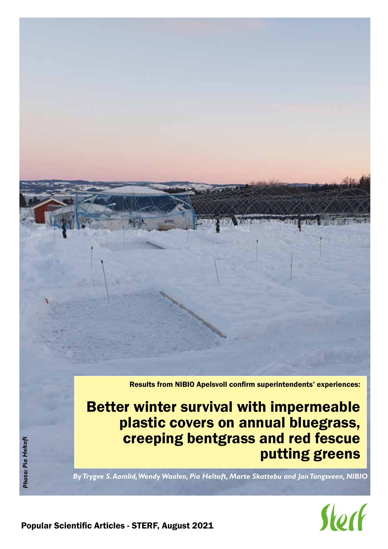Results from NIBIO Apelsvoll confirm superintendents' experiences:

Better winter survival with impermeable plastic covers on annual bluegrass, creeping bentgrass and red fescue putting greens

*By Trygve S. Aamlid, Wendy Waalen, Pia Heltoft, Marte Skattebu and Jan Tangsveen, NIBIO*

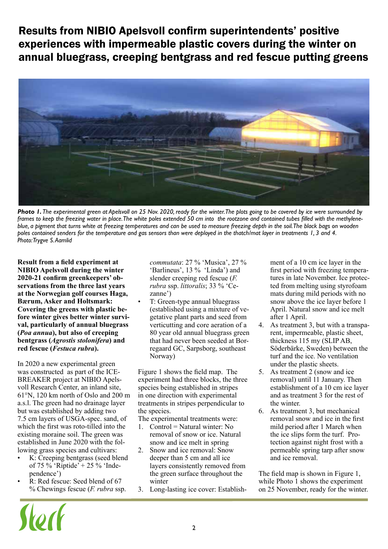Results from NIBIO Apelsvoll confirm superintendents' positive experiences with impermeable plastic covers during the winter on annual bluegrass, creeping bentgrass and red fescue putting greens



*Photo 1. The experimental green at Apelsvoll on 25 Nov. 2020, ready for the winter. The plots going to be covered by ice were surrounded by frames to keep the freezing water in place. The white poles extended 50 cm into the rootzone and contained tubes filled with the methyleneblue, a pigment that turns white at freezing temperatures and can be used to measure freezing depth in the soil. The black bags on wooden poles contained senders for the temperature and gas sensors than were deployed in the thatch/mat layer in treatments 1, 3 and 4. Photo: Trygve S. Aamlid*

**Result from a field experiment at NIBIO Apelsvoll during the winter 2020-21 confirm greenkeepers' observations from the three last years at the Norwegian golf courses Haga, Bærum, Asker and Holtsmark: Covering the greens with plastic before winter gives better winter survival, particularly of annual bluegrass (***Poa annua***), but also of creeping bentgrass (***Agrostis stolonifera***) and red fescue (***Festuca rubra***).** 

In 2020 a new experimental green was constructed as part of the ICE-BREAKER project at NIBIO Apelsvoll Research Center, an inland site, 61°N, 120 km north of Oslo and 200 m a.s.l. The green had no drainage layer but was established by adding two 7.5 cm layers of USGA-spec. sand, of which the first was roto-tilled into the existing moraine soil. The green was established in June 2020 with the following grass species and cultivars:

- K: Creeping bentgrass (seed blend of 75 % 'Riptide' + 25 % 'Independence')
- R: Red fescue: Seed blend of 67 % Chewings fescue (*F. rubra* ssp.

Vorl

*commutata*: 27 % 'Musica', 27 % 'Barlineus', 13 % 'Linda') and slender creeping red fescue (*F. rubra* ssp. *littoralis*; 33 % 'Cezanne')

• T: Green-type annual bluegrass (established using a mixture of vegetative plant parts and seed from verticutting and core aeration of a 80 year old annual bluegrass green that had never been seeded at Borregaard GC, Sarpsborg, southeast Norway)

Figure 1 shows the field map. The experiment had three blocks, the three species being established in stripes in one direction with experimental treatments in stripes perpendicular to the species.

The experimental treatments were:

- 1. Control = Natural winter: No removal of snow or ice. Natural snow and ice melt in spring
- 2. Snow and ice removal: Snow deeper than 5 cm and all ice layers consistently removed from the green surface throughout the winter
- 3. Long-lasting ice cover: Establish-

ment of a 10 cm ice layer in the first period with freezing temperatures in late November. Ice protected from melting using styrofoam mats during mild periods with no snow above the ice layer before 1 April. Natural snow and ice melt after 1 April.

- 4. As treatment 3, but with a transparent, impermeable, plastic sheet, thickness 115 my (SLIP AB, Söderbärke, Sweden) between the turf and the ice. No ventilation under the plastic sheets.
- 5. As treatment 2 (snow and ice removal) until 11 January. Then establishment of a 10 cm ice layer and as treatment 3 for the rest of the winter.
- 6. As treatment 3, but mechanical removal snow and ice in the first mild period after 1 March when the ice slips form the turf. Protection against night frost with a permeable spring tarp after snow and ice removal.

The field map is shown in Figure 1, while Photo 1 shows the experiment on 25 November, ready for the winter.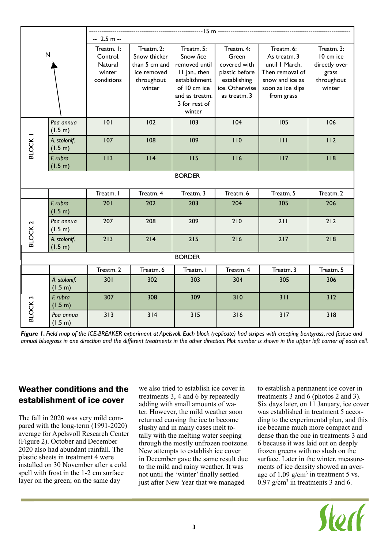| $\sf N$            |                         | $-2.5 m -$<br>Treatm. I:<br>Control.<br>Natural<br>winter<br>conditions | Treatm. 2:<br>Snow thicker<br>than 5 cm and<br>ice removed<br>throughout<br>winter | Treatm. 5:<br>Snow /ice<br>removed until<br>II Jan., then<br>establishment<br>of 10 cm ice<br>and as treatm.<br>3 for rest of<br>winter | Treatm. 4:<br>Green<br>covered with<br>plastic before<br>establishing<br>ice. Otherwise<br>as treatm. 3 | Treatm. 6:<br>As treatm. 3<br>until I March.<br>Then removal of<br>snow and ice as<br>soon as ice slips<br>from grass | Treatm. 3:<br>10 cm ice<br>directly over<br>grass<br>throughout<br>winter |
|--------------------|-------------------------|-------------------------------------------------------------------------|------------------------------------------------------------------------------------|-----------------------------------------------------------------------------------------------------------------------------------------|---------------------------------------------------------------------------------------------------------|-----------------------------------------------------------------------------------------------------------------------|---------------------------------------------------------------------------|
|                    | Poa annua<br>(1.5 m)    | 101                                                                     | 102                                                                                | 103                                                                                                                                     | 104                                                                                                     | 105                                                                                                                   | 106                                                                       |
| BLOCK <sub>1</sub> | A. stolonif.<br>(1.5 m) | 107                                                                     | 108                                                                                | 109                                                                                                                                     | 110                                                                                                     | 111                                                                                                                   | 112                                                                       |
|                    | F. rubra<br>(1.5 m)     | 113                                                                     | 114                                                                                | 115                                                                                                                                     | 116                                                                                                     | 117                                                                                                                   | 118                                                                       |
|                    |                         |                                                                         |                                                                                    | <b>BORDER</b>                                                                                                                           |                                                                                                         |                                                                                                                       |                                                                           |
|                    |                         | Treatm. I                                                               | Treatm. 4                                                                          | Treatm. 3                                                                                                                               | Treatm. 6                                                                                               | Treatm. 5                                                                                                             | Treatm. 2                                                                 |
|                    |                         | 201                                                                     | 202                                                                                | 203                                                                                                                                     | 204                                                                                                     | 305                                                                                                                   | 206                                                                       |
|                    | F. rubra<br>(1.5 m)     |                                                                         |                                                                                    |                                                                                                                                         |                                                                                                         |                                                                                                                       |                                                                           |
|                    | Poa annua<br>(1.5 m)    | 207                                                                     | 208                                                                                | 209                                                                                                                                     | 210                                                                                                     | 211                                                                                                                   | 212                                                                       |
| BLOCK <sub>2</sub> | A. stolonif.<br>(1.5 m) | 213                                                                     | 214                                                                                | 215                                                                                                                                     | 216                                                                                                     | 217                                                                                                                   | 218                                                                       |
|                    |                         |                                                                         |                                                                                    | <b>BORDER</b>                                                                                                                           |                                                                                                         |                                                                                                                       |                                                                           |
|                    |                         | Treatm. 2                                                               | Treatm. 6                                                                          | Treatm. I                                                                                                                               | Treatm. 4                                                                                               | Treatm. 3                                                                                                             | Treatm. 5                                                                 |
|                    | A. stolonif.<br>(1.5 m) | 301                                                                     | 302                                                                                | 303                                                                                                                                     | 304                                                                                                     | 305                                                                                                                   | 306                                                                       |
| BLOCK <sub>3</sub> | F. rubra<br>(1.5 m)     | 307                                                                     | 308                                                                                | 309                                                                                                                                     | 310                                                                                                     | 311                                                                                                                   | 312                                                                       |

# Weather conditions and the establishment of ice cover

The fall in 2020 was very mild compared with the long-term (1991-2020) average for Apelsvoll Research Center (Figure 2). October and December 2020 also had abundant rainfall. The plastic sheets in treatment 4 were installed on 30 November after a cold spell with frost in the 1-2 cm surface layer on the green; on the same day

we also tried to establish ice cover in treatments 3, 4 and 6 by repeatedly adding with small amounts of water. However, the mild weather soon returned causing the ice to become slushy and in many cases melt totally with the melting water seeping through the mostly unfrozen rootzone. New attempts to establish ice cover in December gave the same result due to the mild and rainy weather. It was not until the 'winter' finally settled just after New Year that we managed

to establish a permanent ice cover in treatments 3 and 6 (photos 2 and 3). Six days later, on  $11$  January, ice cover was established in treatment 5 according to the experimental plan, and this ice became much more compact and dense than the one in treatments 3 and 6 because it was laid out on deeply frozen greens with no slush on the surface. Later in the winter, measurements of ice density showed an average of  $1.09 \text{ g/cm}^3$  in treatment 5 vs.  $0.97$  g/cm<sup>3</sup> in treatments 3 and 6.

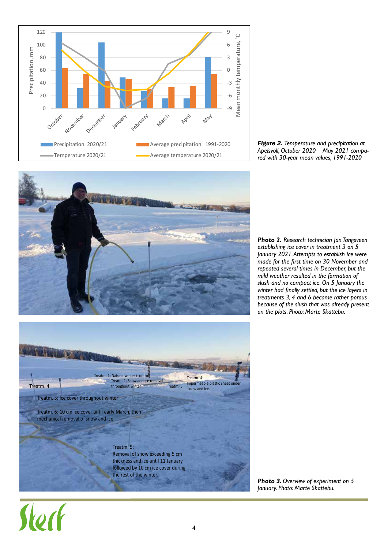

*Figure 2. Temperature and precipitation at Apelsvoll, October 2020 – May 2021 compared with 30-year mean values, 1991-2020*



*Photo 2. Research technician Jan Tangsveen establishing ice cover in treatment 3 on 5 January 2021. Attempts to establish ice were made for the first time on 30 November and repeated several times in December, but the mild weather resulted in the formation of slush and no compact ice. On 5 January the winter had finally settled, but the ice layers in treatments 3, 4 and 6 became rather porous because of the slush that was already present on the plots. Photo: Marte Skattebu.*



*Photo 3. Overview of experiment on 5 January. Photo: Marte Skattebu.*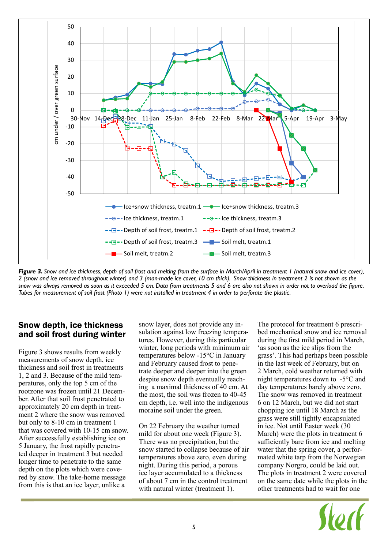

*Figure 3. Snow and ice thickness, depth of soil frost and melting from the surface in March/April in treatment 1 (natural snow and ice cover), 2 (snow and ice removed throughout winter) and 3 (man-made ice cover, 10 cm thick). Snow thickness in treatment 2 is not shown as the snow was always removed as soon as it exceeded 5 cm. Data from treatments 5 and 6 are also not shown in order not to overload the figure. Tubes for measurement of soil frost (Photo 1) were not installed in treatment 4 in order to perforate the plastic.*

### Snow depth, ice thickness and soil frost during winter

Figure 3 shows results from weekly measurements of snow depth, ice thickness and soil frost in treatments 1, 2 and 3. Because of the mild temperatures, only the top 5 cm of the rootzone was frozen until 21 December. After that soil frost penetrated to approximately 20 cm depth in treatment 2 where the snow was removed but only to 8-10 cm in treatment 1 that was covered with 10-15 cm snow. After successfully establishing ice on 5 January, the frost rapidly penetrated deeper in treatment 3 but needed longer time to penetrate to the same depth on the plots which were covered by snow. The take-home message from this is that an ice layer, unlike a

snow layer, does not provide any insulation against low freezing temperatures. However, during this particular winter, long periods with minimum air temperatures below -15°C in January and February caused frost to penetrate deeper and deeper into the green despite snow depth eventually reaching a maximal thickness of 40 cm. At the most, the soil was frozen to 40-45 cm depth, i.e. well into the indigenous moraine soil under the green.

On 22 February the weather turned mild for about one week (Figure 3). There was no precipitation, but the snow started to collapse because of air temperatures above zero, even during night. During this period, a porous ice layer accumulated to a thickness of about 7 cm in the control treatment with natural winter (treatment 1).

The protocol for treatment 6 prescribed mechanical snow and ice removal during the first mild period in March, 'as soon as the ice slips from the grass'. This had perhaps been possible in the last week of February, but on 2 March, cold weather returned with night temperatures down to -5°C and day temperatures barely above zero. The snow was removed in treatment 6 on 12 March, but we did not start chopping ice until 18 March as the grass were still tightly encapsulated in ice. Not until Easter week (30 March) were the plots in treatment 6 sufficiently bare from ice and melting water that the spring cover, a performated white tarp from the Norwegian company Norgro, could be laid out. The plots in treatment 2 were covered on the same date while the plots in the other treatments had to wait for one

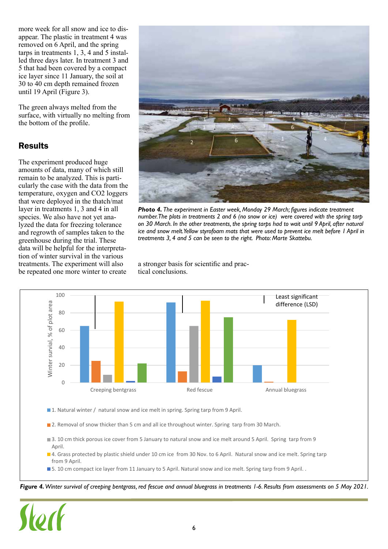more week for all snow and ice to disappear. The plastic in treatment 4 was removed on 6 April, and the spring tarps in treatments 1, 3, 4 and 5 installed three days later. In treatment 3 and 5 that had been covered by a compact ice layer since 11 January, the soil at 30 to 40 cm depth remained frozen until 19 April (Figure 3).

The green always melted from the surface, with virtually no melting from the bottom of the profile.

# Results

The experiment produced huge amounts of data, many of which still remain to be analyzed. This is particularly the case with the data from the temperature, oxygen and CO2 loggers that were deployed in the thatch/mat layer in treatments 1, 3 and 4 in all species. We also have not yet analyzed the data for freezing tolerance and regrowth of samples taken to the greenhouse during the trial. These data will be helpful for the interpretation of winter survival in the various treatments. The experiment will also be repeated one more winter to create



*Photo 4. The experiment in Easter week, Monday 29 March; figures indicate treatment number. The plots in treatments 2 and 6 (no snow or ice) were covered with the spring tarp on 30 March. In the other treatments, the spring tarps had to wait until 9 April, after natural ice and snow melt. Yellow styrofoam mats that were used to prevent ice melt before 1 April in treatments 3, 4 and 5 can be seen to the right. Photo: Marte Skattebu.* 

a stronger basis for scientific and practical conclusions.



■ 1. Natural winter / natural snow and ice melt in spring. Spring tarp from 9 April.

**2**. Removal of snow thicker than 5 cm and all ice throughout winter. Spring tarp from 30 March.

- 3. 10 cm thick porous ice cover from 5 January to natural snow and ice melt around 5 April. Spring tarp from 9 April.
- 4. Grass protected by plastic shield under 10 cm ice from 30 Nov. to 6 April. Natural snow and ice melt. Spring tarp from 9 April.
- **5.** 10 cm compact ice layer from 11 January to 5 April. Natural snow and ice melt. Spring tarp from 9 April. .

*Figure 4. Winter survival of creeping bentgrass, red fescue and annual bluegrass in treatments 1-6. Results from assessments on 5 May 2021.*

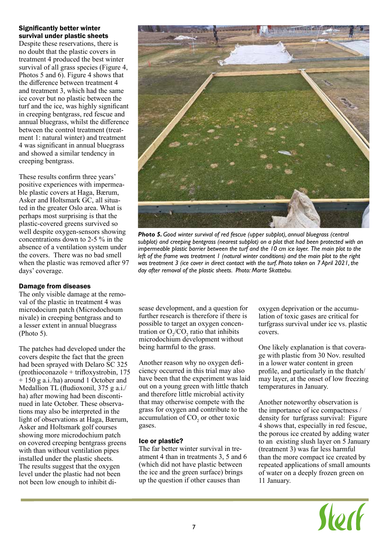#### Significantly better winter survival under plastic sheets

Despite these reservations, there is no doubt that the plastic covers in treatment 4 produced the best winter survival of all grass species (Figure 4, Photos 5 and 6). Figure 4 shows that the difference between treatment 4 and treatment 3, which had the same ice cover but no plastic between the turf and the ice, was highly significant in creeping bentgrass, red fescue and annual bluegrass, whilst the difference between the control treatment (treatment 1: natural winter) and treatment 4 was significant in annual bluegrass and showed a similar tendency in creeping bentgrass.

These results confirm three years' positive experiences with impermeable plastic covers at Haga, Bærum, Asker and Holtsmark GC, all situated in the greater Oslo area. What is perhaps most surprising is that the plastic-covered greens survived so well despite oxygen-sensors showing concentrations down to 2-5 % in the absence of a ventilation system under the covers. There was no bad smell when the plastic was removed after 97 days' coverage.

### Damage from diseases

The only visible damage at the removal of the plastic in treatment 4 was microdocium patch (Microdochoum nivale) in creeping bentgrass and to a lesser extent in annual bluegrass (Photo 5).

The patches had developed under the covers despite the fact that the green had been sprayed with Delaro SC 325 (prothioconazole + trifloxystrobin, 175 + 150 g a.i./ha) around 1 October and Medallion TL (fludioxonil, 375 g a.i./ ha) after mowing had been discontinued in late October. These observations may also be interpreted in the light of observations at Haga, Bærum, Asker and Holtsmark golf courses showing more microdochium patch on covered creeping bentgrass greens with than without ventilation pipes installed under the plastic sheets. The results suggest that the oxygen level under the plastic had not been not been low enough to inhibit di-



*Photo 5. Good winter survival of red fescue (upper subplot), annual bluegrass (central subplot) and creeping bentgrass (nearest subplot) on a plot that had been protected with an impermeable plastic barrier between the turf and the 10 cm ice layer. The main plot to the left of the frame was treatment 1 (natural winter conditions) and the main plot to the right was treatment 3 (ice cover in direct contact with the turf. Photo taken on 7 April 2021, the day after removal of the plastic sheets. Photo: Marte Skattebu.*

sease development, and a question for further research is therefore if there is possible to target an oxygen concentration or  $O_2/CO_2$  ratio that inhibits microdochium development without being harmful to the grass.

Another reason why no oxygen deficiency occurred in this trial may also have been that the experiment was laid out on a young green with little thatch and therefore little microbial activity that may otherwise compete with the grass for oxygen and contribute to the accumulation of  $CO<sub>2</sub>$  or other toxic gases.

### Ice or plastic?

The far better winter survival in treatment 4 than in treatments 3, 5 and 6 (which did not have plastic between the ice and the green surface) brings up the question if other causes than

oxygen deprivation or the accumulation of toxic gases are critical for turfgrass survival under ice vs. plastic covers.

One likely explanation is that coverage with plastic from 30 Nov. resulted in a lower water content in green profile, and particularly in the thatch/ may layer, at the onset of low freezing temperatures in January.

Another noteworthy observation is the importance of ice compactness / density for turfgrass survival: Figure 4 shows that, especially in red fescue, the porous ice created by adding water to an existing slush layer on 5 January (treatment 3) was far less harmful than the more compact ice created by repeated applications of small amounts of water on a deeply frozen green on 11 January.